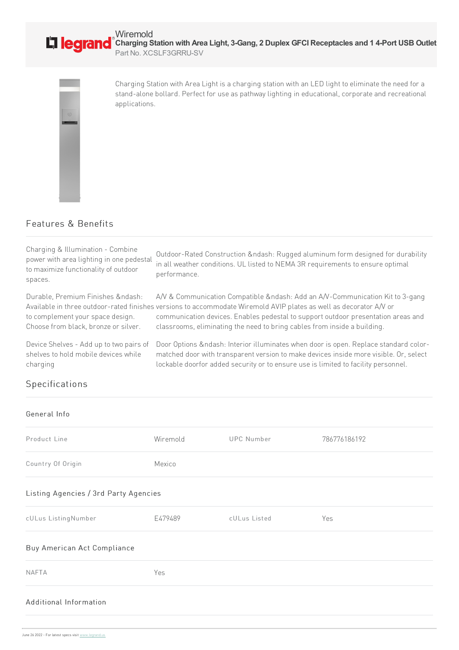

Charging Station with Area Light is a charging station with an LED light to eliminate the need for a stand-alone bollard. Perfect for use as pathway lighting in educational, corporate and recreational applications.

## Features & Benefits

| Charging & Illumination - Combine<br>power with area lighting in one pedestal<br>to maximize functionality of outdoor<br>spaces. | Outdoor-Rated Construction –: Rugged aluminum form designed for durability<br>in all weather conditions. UL listed to NEMA 3R requirements to ensure optimal<br>performance.                                                                                                                                                                                    |
|----------------------------------------------------------------------------------------------------------------------------------|-----------------------------------------------------------------------------------------------------------------------------------------------------------------------------------------------------------------------------------------------------------------------------------------------------------------------------------------------------------------|
| Durable, Premium Finishes & ndash:<br>to complement your space design.<br>Choose from black, bronze or silver.                   | A/V & Communication Compatible –: Add an A/V-Communication Kit to 3-gang<br>Available in three outdoor-rated finishes versions to accommodate Wiremold AVIP plates as well as decorator A/V or<br>communication devices. Enables pedestal to support outdoor presentation areas and<br>classrooms, eliminating the need to bring cables from inside a building. |
| Device Shelves - Add up to two pairs of<br>shelves to hold mobile devices while<br>charging                                      | Door Options –: Interior illuminates when door is open. Replace standard color-<br>matched door with transparent version to make devices inside more visible. Or, select<br>lockable doorfor added security or to ensure use is limited to facility personnel.                                                                                                  |

## **Specifications**

## General Info

| Product Line                          | Wiremold | <b>UPC Number</b> | 786776186192 |  |
|---------------------------------------|----------|-------------------|--------------|--|
| Country Of Origin                     | Mexico   |                   |              |  |
| Listing Agencies / 3rd Party Agencies |          |                   |              |  |
| cULus ListingNumber                   | E479489  | cULus Listed      | Yes          |  |
| Buy American Act Compliance           |          |                   |              |  |
| <b>NAFTA</b>                          | Yes      |                   |              |  |
| Additional Information                |          |                   |              |  |
|                                       |          |                   |              |  |